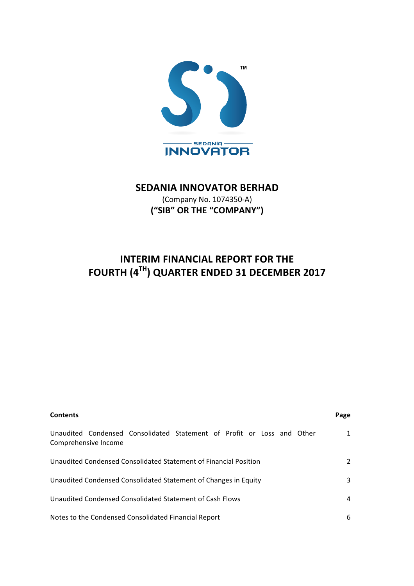

# **SEDANIA INNOVATOR BERHAD**

(Company No. 1074350-A) **("SIB" OR THE "COMPANY")**

# **INTERIM FINANCIAL REPORT FOR THE FOURTH (4TH) QUARTER ENDED 31 DECEMBER 2017**

| <b>Contents</b>                                                                                | Page |
|------------------------------------------------------------------------------------------------|------|
| Unaudited Condensed Consolidated Statement of Profit or Loss and Other<br>Comprehensive Income |      |
| Unaudited Condensed Consolidated Statement of Financial Position                               |      |
| Unaudited Condensed Consolidated Statement of Changes in Equity                                | 3    |
| Unaudited Condensed Consolidated Statement of Cash Flows                                       | 4    |
| Notes to the Condensed Consolidated Financial Report                                           | 6    |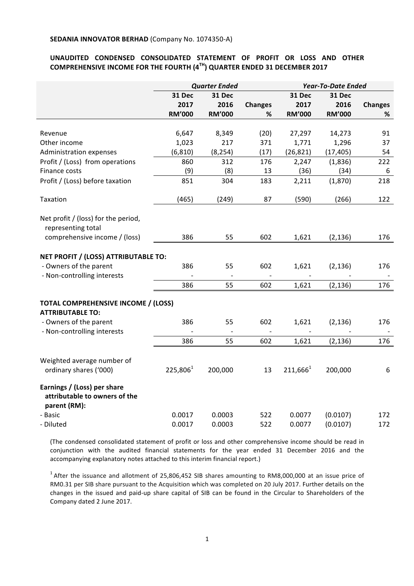# UNAUDITED CONDENSED CONSOLIDATED STATEMENT OF PROFIT OR LOSS AND OTHER **COMPREHENSIVE INCOME FOR THE FOURTH (4<sup>TH</sup>) QUARTER ENDED 31 DECEMBER 2017**

|                                                                                                                         | <b>Quarter Ended</b> |               | <b>Year-To-Date Ended</b> |               |               |                |
|-------------------------------------------------------------------------------------------------------------------------|----------------------|---------------|---------------------------|---------------|---------------|----------------|
|                                                                                                                         | 31 Dec<br>31 Dec     |               | 31 Dec                    | 31 Dec        |               |                |
|                                                                                                                         | 2017                 | 2016          | <b>Changes</b>            | 2017          | 2016          | <b>Changes</b> |
|                                                                                                                         | <b>RM'000</b>        | <b>RM'000</b> | ℅                         | <b>RM'000</b> | <b>RM'000</b> | %              |
|                                                                                                                         |                      |               |                           |               |               |                |
| Revenue                                                                                                                 | 6,647                | 8,349         | (20)                      | 27,297        | 14,273        | 91             |
| Other income                                                                                                            | 1,023                | 217           | 371                       | 1,771         | 1,296         | 37             |
| Administration expenses                                                                                                 | (6, 810)             | (8, 254)      | (17)                      | (26, 821)     | (17, 405)     | 54             |
| Profit / (Loss) from operations                                                                                         | 860                  | 312           | 176                       | 2,247         | (1,836)       | 222            |
| Finance costs                                                                                                           | (9)                  | (8)           | 13                        | (36)          | (34)          | 6              |
| Profit / (Loss) before taxation                                                                                         | 851                  | 304           | 183                       | 2,211         | (1,870)       | 218            |
| Taxation                                                                                                                | (465)                | (249)         | 87                        | (590)         | (266)         | 122            |
| Net profit / (loss) for the period,<br>representing total                                                               |                      |               |                           |               |               |                |
| comprehensive income / (loss)                                                                                           | 386                  | 55            | 602                       | 1,621         | (2, 136)      | 176            |
| NET PROFIT / (LOSS) ATTRIBUTABLE TO:<br>- Owners of the parent<br>- Non-controlling interests                           | 386                  | 55            | 602                       | 1,621         | (2, 136)      | 176            |
|                                                                                                                         | 386                  | 55            | 602                       | 1,621         | (2, 136)      | 176            |
| TOTAL COMPREHENSIVE INCOME / (LOSS)<br><b>ATTRIBUTABLE TO:</b><br>- Owners of the parent<br>- Non-controlling interests | 386                  | 55            | 602                       | 1,621         | (2, 136)      | 176            |
|                                                                                                                         | 386                  | 55            | 602                       | 1,621         | (2, 136)      | 176            |
| Weighted average number of<br>ordinary shares ('000)                                                                    | $225,806^1$          | 200,000       | 13                        | $211,666^1$   | 200,000       | 6              |
| Earnings / (Loss) per share<br>attributable to owners of the<br>parent (RM):                                            |                      |               |                           |               |               |                |
| - Basic                                                                                                                 | 0.0017               | 0.0003        | 522                       | 0.0077        | (0.0107)      | 172            |
| - Diluted                                                                                                               | 0.0017               | 0.0003        | 522                       | 0.0077        | (0.0107)      | 172            |

(The condensed consolidated statement of profit or loss and other comprehensive income should be read in conjunction with the audited financial statements for the year ended 31 December 2016 and the accompanying explanatory notes attached to this interim financial report.)

 $1$  After the issuance and allotment of 25,806,452 SIB shares amounting to RM8,000,000 at an issue price of RM0.31 per SIB share pursuant to the Acquisition which was completed on 20 July 2017. Further details on the changes in the issued and paid-up share capital of SIB can be found in the Circular to Shareholders of the Company dated 2 June 2017.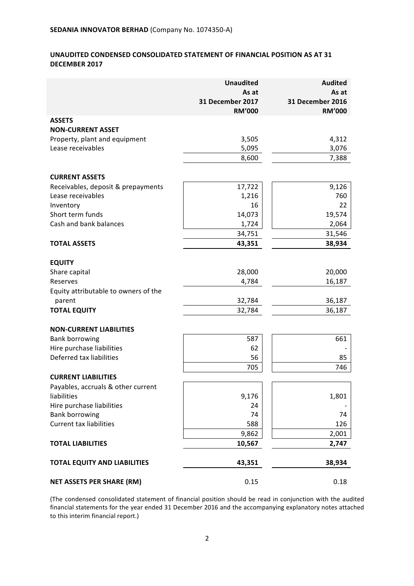# UNAUDITED CONDENSED CONSOLIDATED STATEMENT OF FINANCIAL POSITION AS AT 31 **DECEMBER 2017**

|                                                | <b>Unaudited</b><br>As at         | <b>Audited</b><br>As at           |
|------------------------------------------------|-----------------------------------|-----------------------------------|
|                                                | 31 December 2017<br><b>RM'000</b> | 31 December 2016<br><b>RM'000</b> |
| <b>ASSETS</b>                                  |                                   |                                   |
| <b>NON-CURRENT ASSET</b>                       |                                   |                                   |
| Property, plant and equipment                  | 3,505                             | 4,312                             |
| Lease receivables                              | 5,095                             | 3,076                             |
|                                                | 8,600                             | 7,388                             |
| <b>CURRENT ASSETS</b>                          |                                   |                                   |
| Receivables, deposit & prepayments             | 17,722                            | 9,126                             |
| Lease receivables                              | 1,216                             | 760                               |
| Inventory                                      | 16                                | 22                                |
| Short term funds                               | 14,073                            | 19,574                            |
| Cash and bank balances                         | 1,724                             | 2,064                             |
|                                                | 34,751                            | 31,546                            |
| <b>TOTAL ASSETS</b>                            | 43,351                            | 38,934                            |
| <b>EQUITY</b>                                  |                                   |                                   |
| Share capital                                  | 28,000                            | 20,000                            |
| Reserves                                       | 4,784                             | 16,187                            |
| Equity attributable to owners of the<br>parent | 32,784                            | 36,187                            |
| <b>TOTAL EQUITY</b>                            | 32,784                            | 36,187                            |
|                                                |                                   |                                   |
| <b>NON-CURRENT LIABILITIES</b>                 |                                   |                                   |
| <b>Bank borrowing</b>                          | 587                               | 661                               |
| Hire purchase liabilities                      | 62                                |                                   |
| Deferred tax liabilities                       | 56                                | 85                                |
|                                                | 705                               | 746                               |
| <b>CURRENT LIABILITIES</b>                     |                                   |                                   |
| Payables, accruals & other current             |                                   |                                   |
| liabilities<br>Hire purchase liabilities       | 9,176<br>24                       | 1,801                             |
| <b>Bank borrowing</b>                          | 74                                | 74                                |
| <b>Current tax liabilities</b>                 | 588                               | 126                               |
|                                                | 9,862                             | 2,001                             |
| <b>TOTAL LIABILITIES</b>                       | 10,567                            | 2,747                             |
| <b>TOTAL EQUITY AND LIABILITIES</b>            | 43,351                            | 38,934                            |
|                                                |                                   |                                   |
| <b>NET ASSETS PER SHARE (RM)</b>               | 0.15                              | 0.18                              |

(The condensed consolidated statement of financial position should be read in conjunction with the audited financial statements for the year ended 31 December 2016 and the accompanying explanatory notes attached to this interim financial report.)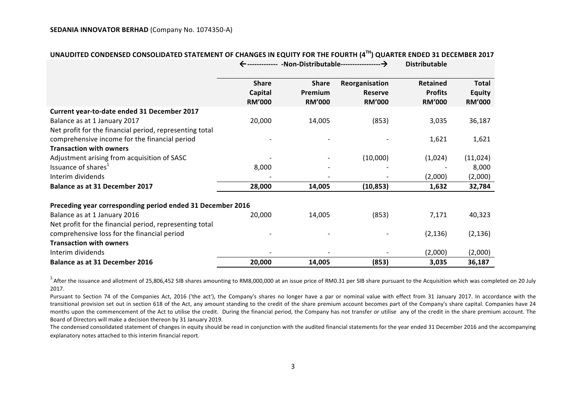|                                                            |                                          |                                          |                                                   | <b>Distributable</b>                               |                                                |  |
|------------------------------------------------------------|------------------------------------------|------------------------------------------|---------------------------------------------------|----------------------------------------------------|------------------------------------------------|--|
|                                                            | <b>Share</b><br>Capital<br><b>RM'000</b> | <b>Share</b><br>Premium<br><b>RM'000</b> | Reorganisation<br><b>Reserve</b><br><b>RM'000</b> | <b>Retained</b><br><b>Profits</b><br><b>RM'000</b> | <b>Total</b><br><b>Equity</b><br><b>RM'000</b> |  |
| Current year-to-date ended 31 December 2017                |                                          |                                          |                                                   |                                                    |                                                |  |
| Balance as at 1 January 2017                               | 20,000                                   | 14,005                                   | (853)                                             | 3,035                                              | 36,187                                         |  |
| Net profit for the financial period, representing total    |                                          |                                          |                                                   |                                                    |                                                |  |
| comprehensive income for the financial period              |                                          |                                          |                                                   | 1,621                                              | 1,621                                          |  |
| <b>Transaction with owners</b>                             |                                          |                                          |                                                   |                                                    |                                                |  |
| Adjustment arising from acquisition of SASC                |                                          |                                          | (10,000)                                          | (1,024)                                            | (11, 024)                                      |  |
| Issuance of shares <sup>1</sup>                            | 8,000                                    |                                          |                                                   |                                                    | 8,000                                          |  |
| Interim dividends                                          |                                          |                                          |                                                   | (2,000)                                            | (2,000)                                        |  |
| <b>Balance as at 31 December 2017</b>                      | 28,000                                   | 14,005                                   | (10, 853)                                         | 1,632                                              | 32,784                                         |  |
| Preceding year corresponding period ended 31 December 2016 |                                          |                                          |                                                   |                                                    |                                                |  |
| Balance as at 1 January 2016                               | 20,000                                   | 14,005                                   | (853)                                             | 7,171                                              | 40,323                                         |  |
| Net profit for the financial period, representing total    |                                          |                                          |                                                   |                                                    |                                                |  |
| comprehensive loss for the financial period                |                                          |                                          |                                                   | (2, 136)                                           | (2, 136)                                       |  |
| <b>Transaction with owners</b>                             |                                          |                                          |                                                   |                                                    |                                                |  |
| Interim dividends                                          |                                          |                                          |                                                   | (2,000)                                            | (2,000)                                        |  |
| <b>Balance as at 31 December 2016</b>                      | 20,000                                   | 14,005                                   | (853)                                             | 3,035                                              | 36,187                                         |  |

# **UNAUDITED CONDENSED CONSOLIDATED STATEMENT OF CHANGES IN EQUITY FOR THE FOURTH (4TH) QUARTER ENDED 31 DECEMBER 2017**

 $1.4$  After the issuance and allotment of 25,806,452 SIB shares amounting to RM8,000,000 at an issue price of RM0.31 per SIB share pursuant to the Acquisition which was completed on 20 July 2017.

Pursuant to Section 74 of the Companies Act, 2016 ('the act'), the Company's shares no longer have a par or nominal value with effect from 31 January 2017. In accordance with the transitional provision set out in section 618 of the Act, any amount standing to the credit of the share premium account becomes part of the Company's share capital. Companies have 24 months upon the commencement of the Act to utilise the credit. During the financial period, the Company has not transfer or utilise any of the credit in the share premium account. The Board of Directors will make a decision thereon by 31 January 2019.

The condensed consolidated statement of changes in equity should be read in conjunction with the audited financial statements for the year ended 31 December 2016 and the accompanying explanatory notes attached to this interim financial report.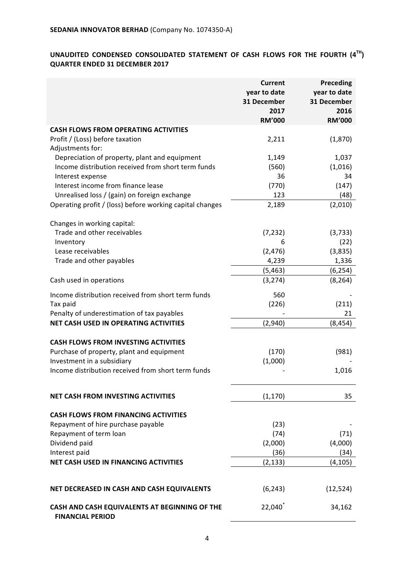# UNAUDITED CONDENSED CONSOLIDATED STATEMENT OF CASH FLOWS FOR THE FOURTH  $(4^{TH})$ **QUARTER ENDED 31 DECEMBER 2017**

|                                                                          | <b>Current</b><br>year to date<br>31 December<br>2017<br><b>RM'000</b> | Preceding<br>year to date<br>31 December<br>2016<br><b>RM'000</b> |
|--------------------------------------------------------------------------|------------------------------------------------------------------------|-------------------------------------------------------------------|
| <b>CASH FLOWS FROM OPERATING ACTIVITIES</b>                              |                                                                        |                                                                   |
| Profit / (Loss) before taxation<br>Adjustments for:                      | 2,211                                                                  | (1,870)                                                           |
| Depreciation of property, plant and equipment                            | 1,149                                                                  | 1,037                                                             |
| Income distribution received from short term funds                       | (560)                                                                  | (1,016)                                                           |
| Interest expense                                                         | 36                                                                     | 34                                                                |
| Interest income from finance lease                                       | (770)                                                                  | (147)                                                             |
| Unrealised loss / (gain) on foreign exchange                             | 123                                                                    | (48)                                                              |
| Operating profit / (loss) before working capital changes                 | 2,189                                                                  | (2,010)                                                           |
| Changes in working capital:                                              |                                                                        |                                                                   |
| Trade and other receivables                                              | (7, 232)                                                               | (3,733)                                                           |
| Inventory                                                                | 6                                                                      | (22)                                                              |
| Lease receivables                                                        | (2, 476)                                                               | (3,835)                                                           |
| Trade and other payables                                                 | 4,239                                                                  | 1,336                                                             |
|                                                                          | (5, 463)                                                               | (6, 254)                                                          |
| Cash used in operations                                                  | (3, 274)                                                               | (8, 264)                                                          |
| Income distribution received from short term funds                       | 560                                                                    |                                                                   |
| Tax paid                                                                 | (226)                                                                  | (211)                                                             |
| Penalty of underestimation of tax payables                               |                                                                        | 21                                                                |
| <b>NET CASH USED IN OPERATING ACTIVITIES</b>                             | (2,940)                                                                | (8, 454)                                                          |
| <b>CASH FLOWS FROM INVESTING ACTIVITIES</b>                              |                                                                        |                                                                   |
| Purchase of property, plant and equipment                                | (170)                                                                  | (981)                                                             |
| Investment in a subsidiary                                               | (1,000)                                                                |                                                                   |
| Income distribution received from short term funds                       |                                                                        | 1,016                                                             |
| <b>NET CASH FROM INVESTING ACTIVITIES</b>                                | (1, 170)                                                               | 35                                                                |
| <b>CASH FLOWS FROM FINANCING ACTIVITIES</b>                              |                                                                        |                                                                   |
| Repayment of hire purchase payable                                       | (23)                                                                   |                                                                   |
| Repayment of term loan                                                   | (74)                                                                   | (71)                                                              |
| Dividend paid                                                            | (2,000)                                                                | (4,000)                                                           |
| Interest paid                                                            | (36)                                                                   | (34)                                                              |
| NET CASH USED IN FINANCING ACTIVITIES                                    | (2, 133)                                                               | (4, 105)                                                          |
| NET DECREASED IN CASH AND CASH EQUIVALENTS                               | (6, 243)                                                               | (12, 524)                                                         |
| CASH AND CASH EQUIVALENTS AT BEGINNING OF THE<br><b>FINANCIAL PERIOD</b> | $22,040^*$                                                             | 34,162                                                            |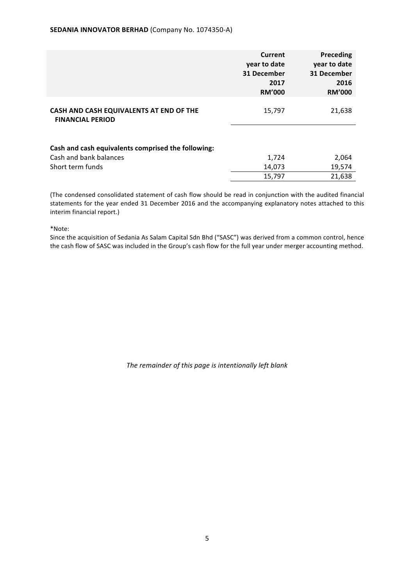|                                                                                                  | <b>Current</b><br>year to date<br>31 December<br>2017<br><b>RM'000</b> | Preceding<br>year to date<br>31 December<br>2016<br><b>RM'000</b> |
|--------------------------------------------------------------------------------------------------|------------------------------------------------------------------------|-------------------------------------------------------------------|
| CASH AND CASH EQUIVALENTS AT END OF THE<br><b>FINANCIAL PERIOD</b>                               | 15,797                                                                 | 21,638                                                            |
| Cash and cash equivalents comprised the following:<br>Cash and bank balances<br>Short term funds | 1,724<br>14,073<br>15,797                                              | 2,064<br>19,574<br>21,638                                         |

(The condensed consolidated statement of cash flow should be read in conjunction with the audited financial statements for the year ended 31 December 2016 and the accompanying explanatory notes attached to this interim financial report.)

\*Note:

Since the acquisition of Sedania As Salam Capital Sdn Bhd ("SASC") was derived from a common control, hence the cash flow of SASC was included in the Group's cash flow for the full year under merger accounting method.

The remainder of this page is intentionally left blank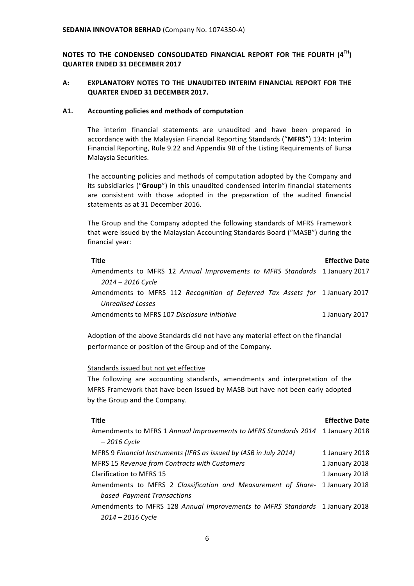**NOTES TO THE CONDENSED CONSOLIDATED FINANCIAL REPORT FOR THE FOURTH (4TH) QUARTER ENDED 31 DECEMBER 2017**

# A: **EXPLANATORY NOTES TO THE UNAUDITED INTERIM FINANCIAL REPORT FOR THE QUARTER ENDED 31 DECEMBER 2017.**

#### A1. Accounting policies and methods of computation

The interim financial statements are unaudited and have been prepared in accordance with the Malaysian Financial Reporting Standards ("MFRS") 134: Interim Financial Reporting, Rule 9.22 and Appendix 9B of the Listing Requirements of Bursa Malaysia Securities.

The accounting policies and methods of computation adopted by the Company and its subsidiaries ("Group") in this unaudited condensed interim financial statements are consistent with those adopted in the preparation of the audited financial statements as at 31 December 2016.

The Group and the Company adopted the following standards of MFRS Framework that were issued by the Malaysian Accounting Standards Board ("MASB") during the financial year:

| Title                                                                        | <b>Effective Date</b> |
|------------------------------------------------------------------------------|-----------------------|
| Amendments to MFRS 12 Annual Improvements to MFRS Standards 1 January 2017   |                       |
| $2014 - 2016$ Cycle                                                          |                       |
| Amendments to MFRS 112 Recognition of Deferred Tax Assets for 1 January 2017 |                       |
| Unrealised Losses                                                            |                       |
| Amendments to MFRS 107 Disclosure Initiative                                 | 1 January 2017        |

Adoption of the above Standards did not have any material effect on the financial performance or position of the Group and of the Company.

#### Standards issued but not yet effective

The following are accounting standards, amendments and interpretation of the MFRS Framework that have been issued by MASB but have not been early adopted by the Group and the Company.

| Title                                                                          | <b>Effective Date</b> |
|--------------------------------------------------------------------------------|-----------------------|
| Amendments to MFRS 1 Annual Improvements to MFRS Standards 2014 1 January 2018 |                       |
| $-2016$ Cycle                                                                  |                       |
| MFRS 9 Financial Instruments (IFRS as issued by IASB in July 2014)             | 1 January 2018        |
| <b>MFRS 15 Revenue from Contracts with Customers</b>                           | 1 January 2018        |
| <b>Clarification to MFRS 15</b>                                                | 1 January 2018        |
| Amendments to MFRS 2 Classification and Measurement of Share- 1 January 2018   |                       |
| based Payment Transactions                                                     |                       |
| Amendments to MFRS 128 Annual Improvements to MFRS Standards 1 January 2018    |                       |
| 2014 – 2016 Cycle                                                              |                       |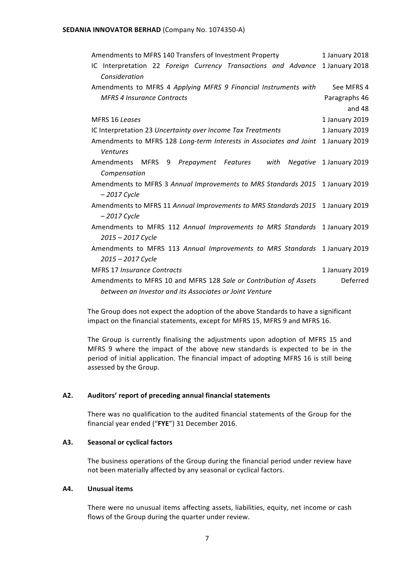#### **SEDANIA INNOVATOR BERHAD (Company No. 1074350-A)**

| Amendments to MFRS 140 Transfers of Investment Property                        | 1 January 2018          |
|--------------------------------------------------------------------------------|-------------------------|
| Interpretation 22 Foreign Currency Transactions and Advance<br>IC.             | 1 January 2018          |
| Consideration                                                                  |                         |
| Amendments to MFRS 4 Applying MFRS 9 Financial Instruments with                | See MFRS 4              |
| <b>MFRS 4 Insurance Contracts</b>                                              | Paragraphs 46           |
|                                                                                | and $48$                |
| MFRS 16 Leases                                                                 | 1 January 2019          |
| IC Interpretation 23 Uncertainty over Income Tax Treatments                    | 1 January 2019          |
| Amendments to MFRS 128 Long-term Interests in Associates and Joint             | 1 January 2019          |
| <b>Ventures</b>                                                                |                         |
| <b>Amendments</b><br>MFRS 9 Prepayment Features with                           | Negative 1 January 2019 |
| Compensation                                                                   |                         |
| Amendments to MFRS 3 Annual Improvements to MRS Standards 2015 1 January 2019  |                         |
| - 2017 Cycle                                                                   |                         |
| Amendments to MFRS 11 Annual Improvements to MRS Standards 2015 1 January 2019 |                         |
| $-2017$ Cycle                                                                  |                         |
| Amendments to MFRS 112 Annual Improvements to MRS Standards 1 January 2019     |                         |
| 2015 - 2017 Cycle                                                              |                         |
| Amendments to MFRS 113 Annual Improvements to MRS Standards 1 January 2019     |                         |
| 2015 – 2017 Cycle                                                              |                         |
| <b>MFRS 17 Insurance Contracts</b>                                             | 1 January 2019          |
| Amendments to MFRS 10 and MFRS 128 Sale or Contribution of Assets              | Deferred                |
| between an Investor and its Associates or Joint Venture                        |                         |

The Group does not expect the adoption of the above Standards to have a significant impact on the financial statements, except for MFRS 15, MFRS 9 and MFRS 16.

The Group is currently finalising the adjustments upon adoption of MFRS 15 and MFRS 9 where the impact of the above new standards is expected to be in the period of initial application. The financial impact of adopting MFRS 16 is still being assessed by the Group.

# **A2. Auditors' report of preceding annual financial statements**

There was no qualification to the audited financial statements of the Group for the financial year ended ("FYE") 31 December 2016.

# **A3. Seasonal or cyclical factors**

The business operations of the Group during the financial period under review have not been materially affected by any seasonal or cyclical factors.

#### **A4. Unusual items**

There were no unusual items affecting assets, liabilities, equity, net income or cash flows of the Group during the quarter under review.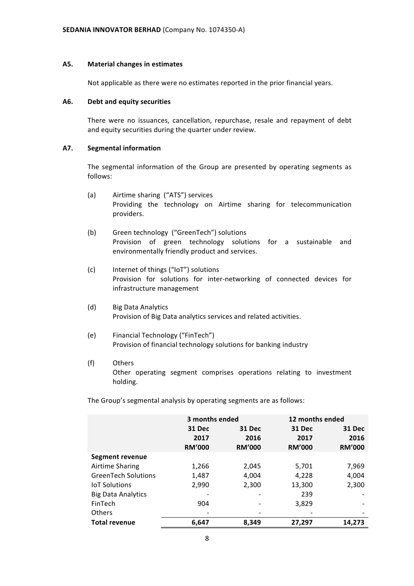#### A5. Material changes in estimates

Not applicable as there were no estimates reported in the prior financial years.

#### **A6. Debt and equity securities**

There were no issuances, cancellation, repurchase, resale and repayment of debt and equity securities during the quarter under review.

# **A7. Segmental information**

The segmental information of the Group are presented by operating segments as follows:

- (a) Airtime sharing ("ATS") services Providing the technology on Airtime sharing for telecommunication providers.
- (b) Green technology ("GreenTech") solutions Provision of green technology solutions for a sustainable and environmentally friendly product and services.
- (c) Internet of things ("IoT") solutions Provision for solutions for inter-networking of connected devices for infrastructure management
- (d) Big Data Analytics Provision of Big Data analytics services and related activities.
- (e) Financial Technology ("FinTech") Provision of financial technology solutions for banking industry
- (f) Others Other operating segment comprises operations relating to investment holding.

The Group's segmental analysis by operating segments are as follows:

|                            | 3 months ended        |                       |                       | 12 months ended       |
|----------------------------|-----------------------|-----------------------|-----------------------|-----------------------|
|                            | 31 Dec                | <b>31 Dec</b>         | 31 Dec                | <b>31 Dec</b>         |
|                            | 2017<br><b>RM'000</b> | 2016<br><b>RM'000</b> | 2017<br><b>RM'000</b> | 2016<br><b>RM'000</b> |
| Segment revenue            |                       |                       |                       |                       |
| Airtime Sharing            | 1,266                 | 2,045                 | 5,701                 | 7,969                 |
| <b>GreenTech Solutions</b> | 1,487                 | 4,004                 | 4,228                 | 4,004                 |
| <b>IoT Solutions</b>       | 2,990                 | 2,300                 | 13,300                | 2,300                 |
| <b>Big Data Analytics</b>  |                       |                       | 239                   |                       |
| FinTech                    | 904                   |                       | 3,829                 |                       |
| <b>Others</b>              |                       |                       |                       |                       |
| <b>Total revenue</b>       | 6,647                 | 8,349                 | 27,297                | 14,273                |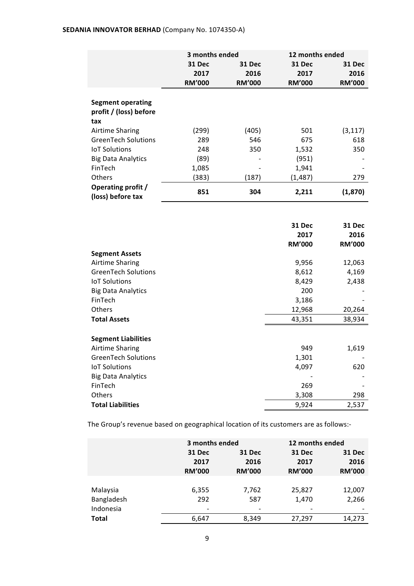# **SEDANIA INNOVATOR BERHAD** (Company No. 1074350-A)

|                                         | 3 months ended |               | 12 months ended |               |
|-----------------------------------------|----------------|---------------|-----------------|---------------|
|                                         | 31 Dec         | 31 Dec        | 31 Dec          | <b>31 Dec</b> |
|                                         | 2017           | 2016          | 2017            | 2016          |
|                                         | <b>RM'000</b>  | <b>RM'000</b> | <b>RM'000</b>   | <b>RM'000</b> |
|                                         |                |               |                 |               |
| <b>Segment operating</b>                |                |               |                 |               |
| profit / (loss) before                  |                |               |                 |               |
| tax                                     |                |               |                 |               |
| Airtime Sharing                         | (299)          | (405)         | 501             | (3, 117)      |
| <b>GreenTech Solutions</b>              | 289            | 546           | 675             | 618           |
| <b>IoT Solutions</b>                    | 248            | 350           | 1,532           | 350           |
| <b>Big Data Analytics</b>               | (89)           |               | (951)           |               |
| FinTech                                 | 1,085          |               | 1,941           |               |
| Others                                  | (383)          | (187)         | (1, 487)        | 279           |
| Operating profit /<br>(loss) before tax | 851            | 304           | 2,211           | (1,870)       |

|                            | <b>31 Dec</b><br>2017 | 31 Dec<br>2016 |
|----------------------------|-----------------------|----------------|
|                            | <b>RM'000</b>         | <b>RM'000</b>  |
| <b>Segment Assets</b>      |                       |                |
| Airtime Sharing            | 9,956                 | 12,063         |
| <b>GreenTech Solutions</b> | 8,612                 | 4,169          |
| <b>IoT Solutions</b>       | 8,429                 | 2,438          |
| <b>Big Data Analytics</b>  | 200                   |                |
| FinTech                    | 3,186                 |                |
| <b>Others</b>              | 12,968                | 20,264         |
| <b>Total Assets</b>        | 43,351                | 38,934         |
|                            |                       |                |
| <b>Segment Liabilities</b> |                       |                |
| Airtime Sharing            | 949                   | 1,619          |
| <b>GreenTech Solutions</b> | 1,301                 |                |
| <b>IoT Solutions</b>       | 4,097                 | 620            |
| <b>Big Data Analytics</b>  |                       |                |
| FinTech                    | 269                   |                |
| <b>Others</b>              | 3,308                 | 298            |
| <b>Total Liabilities</b>   | 9,924                 | 2,537          |

The Group's revenue based on geographical location of its customers are as follows:-

|              | 3 months ended |               |               | 12 months ended |  |  |
|--------------|----------------|---------------|---------------|-----------------|--|--|
|              | 31 Dec         | 31 Dec        | <b>31 Dec</b> | <b>31 Dec</b>   |  |  |
|              | 2017           | 2016          | 2017          | 2016            |  |  |
|              | <b>RM'000</b>  | <b>RM'000</b> | <b>RM'000</b> | <b>RM'000</b>   |  |  |
|              |                |               |               |                 |  |  |
| Malaysia     | 6,355          | 7,762         | 25,827        | 12,007          |  |  |
| Bangladesh   | 292            | 587           | 1,470         | 2,266           |  |  |
| Indonesia    |                |               |               |                 |  |  |
| <b>Total</b> | 6,647          | 8,349         | 27,297        | 14,273          |  |  |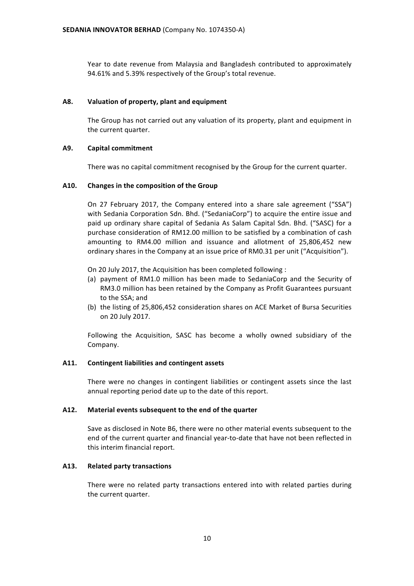Year to date revenue from Malaysia and Bangladesh contributed to approximately 94.61% and 5.39% respectively of the Group's total revenue.

# A8. Valuation of property, plant and equipment

The Group has not carried out any valuation of its property, plant and equipment in the current quarter.

# **A9. Capital commitment**

There was no capital commitment recognised by the Group for the current quarter.

# A10. Changes in the composition of the Group

On 27 February 2017, the Company entered into a share sale agreement ("SSA") with Sedania Corporation Sdn. Bhd. ("SedaniaCorp") to acquire the entire issue and paid up ordinary share capital of Sedania As Salam Capital Sdn. Bhd. ("SASC) for a purchase consideration of RM12.00 million to be satisfied by a combination of cash amounting to RM4.00 million and issuance and allotment of 25,806,452 new ordinary shares in the Company at an issue price of RM0.31 per unit ("Acquisition").

- On 20 July 2017, the Acquisition has been completed following :
- (a) payment of RM1.0 million has been made to SedaniaCorp and the Security of RM3.0 million has been retained by the Company as Profit Guarantees pursuant to the SSA; and
- (b) the listing of 25,806,452 consideration shares on ACE Market of Bursa Securities on 20 July 2017.

Following the Acquisition, SASC has become a wholly owned subsidiary of the Company.

#### A11. Contingent liabilities and contingent assets

There were no changes in contingent liabilities or contingent assets since the last annual reporting period date up to the date of this report.

#### A12. Material events subsequent to the end of the quarter

Save as disclosed in Note B6, there were no other material events subsequent to the end of the current quarter and financial year-to-date that have not been reflected in this interim financial report.

#### **A13. Related party transactions**

There were no related party transactions entered into with related parties during the current quarter.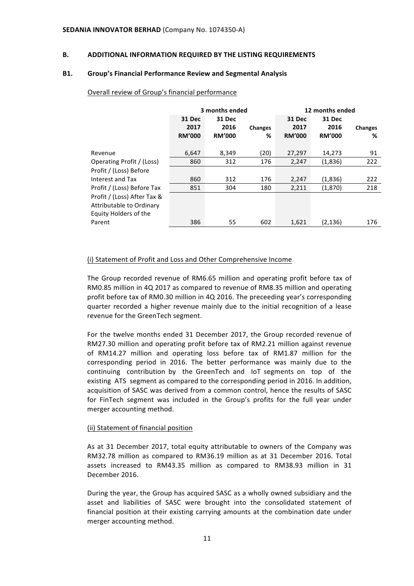#### **B. ADDITIONAL INFORMATION REQUIRED BY THE LISTING REQUIREMENTS**

#### **B1.** Group's Financial Performance Review and Segmental Analysis

|                                                                                  | 3 months ended                         |                                        |              | 12 months ended                 |                                 |              |
|----------------------------------------------------------------------------------|----------------------------------------|----------------------------------------|--------------|---------------------------------|---------------------------------|--------------|
|                                                                                  | <b>31 Dec</b><br>2017<br><b>RM'000</b> | <b>31 Dec</b><br>2016<br><b>RM'000</b> | Changes<br>% | 31 Dec<br>2017<br><b>RM'000</b> | 31 Dec<br>2016<br><b>RM'000</b> | Changes<br>% |
| Revenue                                                                          | 6,647                                  | 8,349                                  | (20)         | 27,297                          | 14,273                          | 91           |
| Operating Profit / (Loss)                                                        | 860                                    | 312                                    | 176          | 2,247                           | (1,836)                         | 222          |
| Profit / (Loss) Before                                                           |                                        |                                        |              |                                 |                                 |              |
| Interest and Tax                                                                 | 860                                    | 312                                    | 176          | 2,247                           | (1,836)                         | 222          |
| Profit / (Loss) Before Tax                                                       | 851                                    | 304                                    | 180          | 2,211                           | (1,870)                         | 218          |
| Profit / (Loss) After Tax &<br>Attributable to Ordinary<br>Equity Holders of the |                                        |                                        |              |                                 |                                 |              |
| Parent                                                                           | 386                                    | 55                                     | 602          | 1,621                           | (2, 136)                        | 176          |

# Overall review of Group's financial performance

#### (i) Statement of Profit and Loss and Other Comprehensive Income

The Group recorded revenue of RM6.65 million and operating profit before tax of RM0.85 million in 4Q 2017 as compared to revenue of RM8.35 million and operating profit before tax of RM0.30 million in 4Q 2016. The preceeding year's corresponding quarter recorded a higher revenue mainly due to the initial recognition of a lease revenue for the GreenTech segment.

For the twelve months ended 31 December 2017, the Group recorded revenue of RM27.30 million and operating profit before tax of RM2.21 million against revenue of RM14.27 million and operating loss before tax of RM1.87 million for the corresponding period in 2016. The better performance was mainly due to the continuing contribution by the GreenTech and loT segments on top of the existing ATS segment as compared to the corresponding period in 2016. In addition, acquisition of SASC was derived from a common control, hence the results of SASC for FinTech segment was included in the Group's profits for the full year under merger accounting method.

#### (ii) Statement of financial position

As at 31 December 2017, total equity attributable to owners of the Company was RM32.78 million as compared to RM36.19 million as at 31 December 2016. Total assets increased to RM43.35 million as compared to RM38.93 million in 31 December 2016.

During the year, the Group has acquired SASC as a wholly owned subsidiary and the asset and liabilities of SASC were brought into the consolidated statement of financial position at their existing carrying amounts at the combination date under merger accounting method.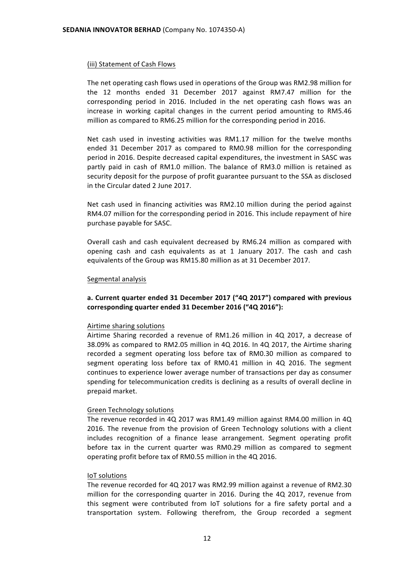# (iii) Statement of Cash Flows

The net operating cash flows used in operations of the Group was RM2.98 million for the 12 months ended 31 December 2017 against RM7.47 million for the corresponding period in 2016. Included in the net operating cash flows was an increase in working capital changes in the current period amounting to RM5.46 million as compared to RM6.25 million for the corresponding period in 2016.

Net cash used in investing activities was RM1.17 million for the twelve months ended 31 December 2017 as compared to RM0.98 million for the corresponding period in 2016. Despite decreased capital expenditures, the investment in SASC was partly paid in cash of RM1.0 million. The balance of RM3.0 million is retained as security deposit for the purpose of profit guarantee pursuant to the SSA as disclosed in the Circular dated 2 June 2017.

Net cash used in financing activities was RM2.10 million during the period against RM4.07 million for the corresponding period in 2016. This include repayment of hire purchase payable for SASC.

Overall cash and cash equivalent decreased by RM6.24 million as compared with opening cash and cash equivalents as at 1 January 2017. The cash and cash equivalents of the Group was RM15.80 million as at 31 December 2017.

#### Segmental analysis

# a. Current quarter ended 31 December 2017 ("4Q 2017") compared with previous **corresponding quarter ended 31 December 2016 ("4Q 2016"):**

#### Airtime sharing solutions

Airtime Sharing recorded a revenue of RM1.26 million in 4Q 2017, a decrease of 38.09% as compared to RM2.05 million in 4Q 2016. In 4Q 2017, the Airtime sharing recorded a segment operating loss before tax of RM0.30 million as compared to segment operating loss before tax of RM0.41 million in 4Q 2016. The segment continues to experience lower average number of transactions per day as consumer spending for telecommunication credits is declining as a results of overall decline in prepaid market.

#### Green Technology solutions

The revenue recorded in 4Q 2017 was RM1.49 million against RM4.00 million in 4Q 2016. The revenue from the provision of Green Technology solutions with a client includes recognition of a finance lease arrangement. Segment operating profit before tax in the current quarter was RM0.29 million as compared to segment operating profit before tax of RM0.55 million in the 4Q 2016.

#### IoT solutions

The revenue recorded for 4Q 2017 was RM2.99 million against a revenue of RM2.30 million for the corresponding quarter in 2016. During the 4Q 2017, revenue from this segment were contributed from IoT solutions for a fire safety portal and a transportation system. Following therefrom, the Group recorded a segment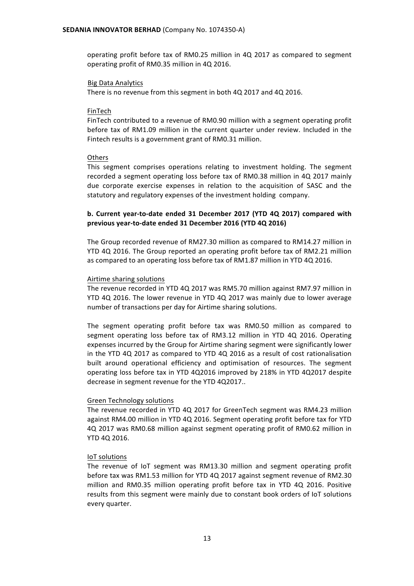operating profit before tax of RM0.25 million in 4Q 2017 as compared to segment operating profit of RM0.35 million in 4Q 2016.

#### Big Data Analytics

There is no revenue from this segment in both 4Q 2017 and 4Q 2016.

#### FinTech

FinTech contributed to a revenue of RM0.90 million with a segment operating profit before tax of RM1.09 million in the current quarter under review. Included in the Fintech results is a government grant of RM0.31 million.

#### **Others**

This segment comprises operations relating to investment holding. The segment recorded a segment operating loss before tax of RM0.38 million in 4Q 2017 mainly due corporate exercise expenses in relation to the acquisition of SASC and the statutory and regulatory expenses of the investment holding company.

# **b.** Current year-to-date ended 31 December 2017 (YTD 4Q 2017) compared with **previous year-to-date ended 31 December 2016 (YTD 4Q 2016)**

The Group recorded revenue of RM27.30 million as compared to RM14.27 million in YTD 4Q 2016. The Group reported an operating profit before tax of RM2.21 million as compared to an operating loss before tax of RM1.87 million in YTD 4Q 2016.

#### Airtime sharing solutions

The revenue recorded in YTD 4Q 2017 was RM5.70 million against RM7.97 million in YTD 4Q 2016. The lower revenue in YTD 4Q 2017 was mainly due to lower average number of transactions per day for Airtime sharing solutions.

The segment operating profit before tax was RM0.50 million as compared to segment operating loss before tax of RM3.12 million in YTD 4Q 2016. Operating expenses incurred by the Group for Airtime sharing segment were significantly lower in the YTD 4Q 2017 as compared to YTD 4Q 2016 as a result of cost rationalisation built around operational efficiency and optimisation of resources. The segment operating loss before tax in YTD 4Q2016 improved by 218% in YTD 4Q2017 despite decrease in segment revenue for the YTD 4Q2017..

#### Green Technology solutions

The revenue recorded in YTD 4Q 2017 for GreenTech segment was RM4.23 million against RM4.00 million in YTD 4Q 2016. Segment operating profit before tax for YTD 4Q 2017 was RM0.68 million against segment operating profit of RM0.62 million in YTD 4Q 2016.

#### IoT solutions

The revenue of IoT segment was RM13.30 million and segment operating profit before tax was RM1.53 million for YTD 4Q 2017 against segment revenue of RM2.30 million and RM0.35 million operating profit before tax in YTD 4Q 2016. Positive results from this segment were mainly due to constant book orders of IoT solutions every quarter.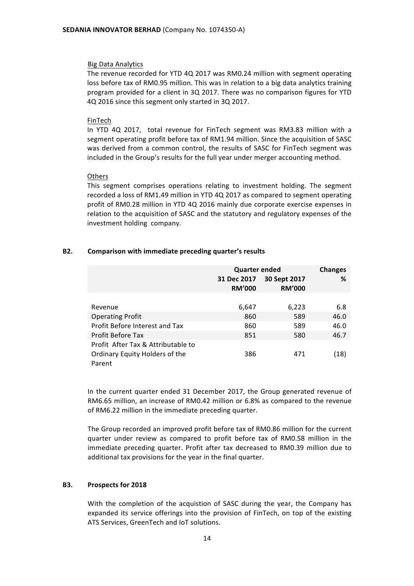#### **Big Data Analytics**

The revenue recorded for YTD 4Q 2017 was RM0.24 million with segment operating loss before tax of RM0.95 million. This was in relation to a big data analytics training program provided for a client in 3Q 2017. There was no comparison figures for YTD 4Q 2016 since this segment only started in 3Q 2017.

#### FinTech

In YTD 4Q 2017, total revenue for FinTech segment was RM3.83 million with a segment operating profit before tax of RM1.94 million. Since the acquisition of SASC was derived from a common control, the results of SASC for FinTech segment was included in the Group's results for the full year under merger accounting method.

#### **Others**

This segment comprises operations relating to investment holding. The segment recorded a loss of RM1.49 million in YTD 4Q 2017 as compared to segment operating profit of RM0.28 million in YTD 4Q 2016 mainly due corporate exercise expenses in relation to the acquisition of SASC and the statutory and regulatory expenses of the investment holding company.

# **B2.** Comparison with immediate preceding quarter's results

|                                    | <b>Quarter ended</b><br>31 Dec 2017<br><b>RM'000</b> | <b>Changes</b><br>℅ |      |
|------------------------------------|------------------------------------------------------|---------------------|------|
|                                    |                                                      |                     |      |
| Revenue                            | 6,647                                                | 6,223               | 6.8  |
| <b>Operating Profit</b>            | 860                                                  | 589                 | 46.0 |
| Profit Before Interest and Tax     | 860                                                  | 589                 | 46.0 |
| Profit Before Tax                  | 851                                                  | 580                 | 46.7 |
| Profit After Tax & Attributable to |                                                      |                     |      |
| Ordinary Equity Holders of the     | 386                                                  | 471                 | (18) |
| Parent                             |                                                      |                     |      |

In the current quarter ended 31 December 2017, the Group generated revenue of RM6.65 million, an increase of RM0.42 million or 6.8% as compared to the revenue of RM6.22 million in the immediate preceding quarter.

The Group recorded an improved profit before tax of RM0.86 million for the current quarter under review as compared to profit before tax of RM0.58 million in the immediate preceding quarter. Profit after tax decreased to RM0.39 million due to additional tax provisions for the year in the final quarter.

# **B3.** Prospects for 2018

With the completion of the acquistion of SASC during the year, the Company has expanded its service offerings into the provision of FinTech, on top of the existing ATS Services, GreenTech and IoT solutions.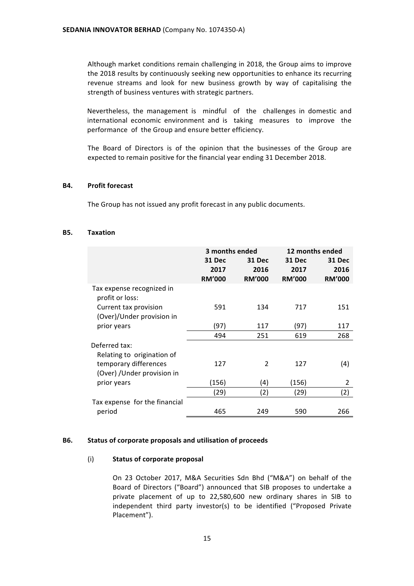Although market conditions remain challenging in 2018, the Group aims to improve the 2018 results by continuously seeking new opportunities to enhance its recurring revenue streams and look for new business growth by way of capitalising the strength of business ventures with strategic partners.

Nevertheless, the management is mindful of the challenges in domestic and international economic environment and is taking measures to improve the performance of the Group and ensure better efficiency.

The Board of Directors is of the opinion that the businesses of the Group are expected to remain positive for the financial year ending 31 December 2018.

#### **B4.** Profit forecast

The Group has not issued any profit forecast in any public documents.

#### **B5. Taxation**

|                                                                                    |                                 | 3 months ended                  | 12 months ended                        |                                 |  |
|------------------------------------------------------------------------------------|---------------------------------|---------------------------------|----------------------------------------|---------------------------------|--|
|                                                                                    | 31 Dec<br>2017<br><b>RM'000</b> | 31 Dec<br>2016<br><b>RM'000</b> | <b>31 Dec</b><br>2017<br><b>RM'000</b> | 31 Dec<br>2016<br><b>RM'000</b> |  |
| Tax expense recognized in<br>profit or loss:                                       |                                 |                                 |                                        |                                 |  |
| Current tax provision<br>(Over)/Under provision in                                 | 591                             | 134                             | 717                                    | 151                             |  |
| prior years                                                                        | (97                             | 117                             | (97                                    | 117                             |  |
|                                                                                    | 494                             | 251                             | 619                                    | 268                             |  |
| Deferred tax:                                                                      |                                 |                                 |                                        |                                 |  |
| Relating to origination of<br>temporary differences<br>(Over) / Under provision in | 127                             | $\overline{2}$                  | 127                                    | (4)                             |  |
| prior years                                                                        | (156)                           | (4)                             | (156)                                  | 2                               |  |
|                                                                                    | (29)                            | (2)                             | (29)                                   | (2)                             |  |
| Tax expense for the financial<br>period                                            | 465                             | 249                             | 590                                    | 266                             |  |

#### **B6.** Status of corporate proposals and utilisation of proceeds

#### (i) **Status of corporate proposal**

On 23 October 2017, M&A Securities Sdn Bhd ("M&A") on behalf of the Board of Directors ("Board") announced that SIB proposes to undertake a private placement of up to 22,580,600 new ordinary shares in SIB to independent third party investor(s) to be identified ("Proposed Private Placement").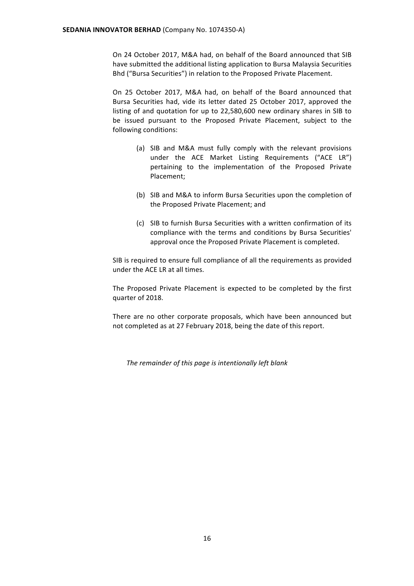On 24 October 2017, M&A had, on behalf of the Board announced that SIB have submitted the additional listing application to Bursa Malaysia Securities Bhd ("Bursa Securities") in relation to the Proposed Private Placement.

On 25 October 2017, M&A had, on behalf of the Board announced that Bursa Securities had, vide its letter dated 25 October 2017, approved the listing of and quotation for up to 22,580,600 new ordinary shares in SIB to be issued pursuant to the Proposed Private Placement, subject to the following conditions:

- (a) SIB and M&A must fully comply with the relevant provisions under the ACE Market Listing Requirements ("ACE LR") pertaining to the implementation of the Proposed Private Placement;
- (b) SIB and M&A to inform Bursa Securities upon the completion of the Proposed Private Placement; and
- (c) SIB to furnish Bursa Securities with a written confirmation of its compliance with the terms and conditions by Bursa Securities' approval once the Proposed Private Placement is completed.

SIB is required to ensure full compliance of all the requirements as provided under the ACE LR at all times.

The Proposed Private Placement is expected to be completed by the first quarter of 2018.

There are no other corporate proposals, which have been announced but not completed as at 27 February 2018, being the date of this report.

The remainder of this page is intentionally left blank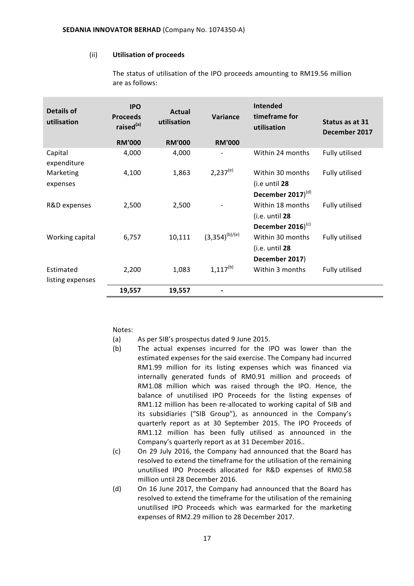#### (ii) **Utilisation of proceeds**

| <b>Details of</b><br>utilisation | <b>IPO</b><br><b>Proceeds</b><br>raised <sup>(a)</sup> | Actual<br>utilisation | Variance            | <b>Intended</b><br>timeframe for<br>utilisation | Status as at 31<br>December 2017 |
|----------------------------------|--------------------------------------------------------|-----------------------|---------------------|-------------------------------------------------|----------------------------------|
|                                  | <b>RM'000</b>                                          | <b>RM'000</b>         | <b>RM'000</b>       |                                                 |                                  |
| Capital<br>expenditure           | 4,000                                                  | 4,000                 |                     | Within 24 months                                | Fully utilised                   |
| Marketing                        | 4,100                                                  | 1,863                 | $2,237^{(e)}$       | Within 30 months                                | Fully utilised                   |
| expenses                         |                                                        |                       |                     | (i.e until 28                                   |                                  |
|                                  |                                                        |                       |                     | December 2017) $(d)$                            |                                  |
| R&D expenses                     | 2,500                                                  | 2,500                 |                     | Within 18 months                                | Fully utilised                   |
|                                  |                                                        |                       |                     | $(i.e.$ until $28$                              |                                  |
|                                  |                                                        |                       |                     | December 2016) $(c)$                            |                                  |
| Working capital                  | 6,757                                                  | 10,111                | $(3,354)^{(b)/(e)}$ | Within 30 months                                | Fully utilised                   |
|                                  |                                                        |                       |                     | $(i.e.$ until $28$                              |                                  |
|                                  |                                                        |                       |                     | December 2017)                                  |                                  |
| Estimated                        | 2,200                                                  | 1,083                 | $1,117^{(b)}$       | Within 3 months                                 | Fully utilised                   |
| listing expenses                 |                                                        |                       |                     |                                                 |                                  |
|                                  | 19,557                                                 | 19,557                |                     |                                                 |                                  |

The status of utilisation of the IPO proceeds amounting to RM19.56 million are as follows:

Notes: 

- (a) As per SIB's prospectus dated 9 June 2015.
- (b) The actual expenses incurred for the IPO was lower than the estimated expenses for the said exercise. The Company had incurred RM1.99 million for its listing expenses which was financed via internally generated funds of RM0.91 million and proceeds of RM1.08 million which was raised through the IPO. Hence, the balance of unutilised IPO Proceeds for the listing expenses of RM1.12 million has been re-allocated to working capital of SIB and its subsidiaries ("SIB Group"), as announced in the Company's quarterly report as at 30 September 2015. The IPO Proceeds of RM1.12 million has been fully utilised as announced in the Company's quarterly report as at 31 December 2016..
- (c) On 29 July 2016, the Company had announced that the Board has resolved to extend the timeframe for the utilisation of the remaining unutilised IPO Proceeds allocated for R&D expenses of RM0.58 million until 28 December 2016.
- (d) On 16 June 2017, the Company had announced that the Board has resolved to extend the timeframe for the utilisation of the remaining unutilised IPO Proceeds which was earmarked for the marketing expenses of RM2.29 million to 28 December 2017.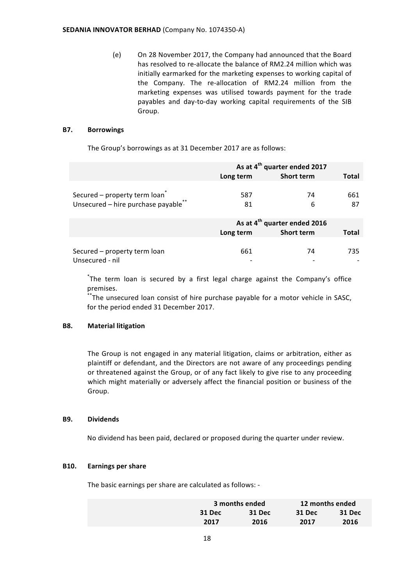(e) On 28 November 2017, the Company had announced that the Board has resolved to re-allocate the balance of RM2.24 million which was initially earmarked for the marketing expenses to working capital of the Company. The re-allocation of RM2.24 million from the marketing expenses was utilised towards payment for the trade payables and day-to-day working capital requirements of the SIB Group.

# **B7. Borrowings**

The Group's borrowings as at 31 December 2017 are as follows:

|                                    | As at 4 <sup>th</sup> quarter ended 2017 |                                          |              |  |
|------------------------------------|------------------------------------------|------------------------------------------|--------------|--|
|                                    | Long term                                | <b>Short term</b>                        | Total        |  |
|                                    |                                          |                                          |              |  |
| Secured - property term loan       | 587                                      | 74                                       | 661          |  |
| Unsecured - hire purchase payable" | 81                                       | 6                                        | 87           |  |
|                                    |                                          |                                          |              |  |
|                                    |                                          | As at 4 <sup>th</sup> quarter ended 2016 |              |  |
|                                    | Long term                                | <b>Short term</b>                        | <b>Total</b> |  |
|                                    |                                          |                                          |              |  |
| Secured - property term loan       | 661                                      | 74                                       | 735          |  |
| Unsecured - nil                    |                                          |                                          |              |  |

\*The term loan is secured by a first legal charge against the Company's office premises.

\*The unsecured loan consist of hire purchase payable for a motor vehicle in SASC, for the period ended 31 December 2017.

#### **B8. Material litigation**

The Group is not engaged in any material litigation, claims or arbitration, either as plaintiff or defendant, and the Directors are not aware of any proceedings pending or threatened against the Group, or of any fact likely to give rise to any proceeding which might materially or adversely affect the financial position or business of the Group.

#### **B9. Dividends**

No dividend has been paid, declared or proposed during the quarter under review.

#### **B10. Earnings per share**

The basic earnings per share are calculated as follows: -

|        | 3 months ended |        | 12 months ended |
|--------|----------------|--------|-----------------|
| 31 Dec | 31 Dec         | 31 Dec | 31 Dec          |
| 2017   | 2016           | 2017   | 2016            |